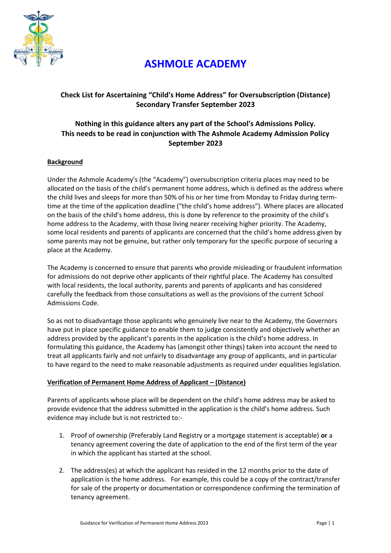

# **ASHMOLE ACADEMY**

# **Check List for Ascertaining "Child's Home Address" for Oversubscription (Distance) Secondary Transfer September 2023**

## **Nothing in this guidance alters any part of the School's Admissions Policy. This needs to be read in conjunction with The Ashmole Academy Admission Policy September 2023**

## **Background**

Under the Ashmole Academy's (the "Academy") oversubscription criteria places may need to be allocated on the basis of the child's permanent home address, which is defined as the address where the child lives and sleeps for more than 50% of his or her time from Monday to Friday during termtime at the time of the application deadline ("the child's home address"). Where places are allocated on the basis of the child's home address, this is done by reference to the proximity of the child's home address to the Academy, with those living nearer receiving higher priority. The Academy, some local residents and parents of applicants are concerned that the child's home address given by some parents may not be genuine, but rather only temporary for the specific purpose of securing a place at the Academy.

The Academy is concerned to ensure that parents who provide misleading or fraudulent information for admissions do not deprive other applicants of their rightful place. The Academy has consulted with local residents, the local authority, parents and parents of applicants and has considered carefully the feedback from those consultations as well as the provisions of the current School Admissions Code.

So as not to disadvantage those applicants who genuinely live near to the Academy, the Governors have put in place specific guidance to enable them to judge consistently and objectively whether an address provided by the applicant's parents in the application is the child's home address. In formulating this guidance, the Academy has (amongst other things) taken into account the need to treat all applicants fairly and not unfairly to disadvantage any group of applicants, and in particular to have regard to the need to make reasonable adjustments as required under equalities legislation.

## **Verification of Permanent Home Address of Applicant – (Distance)**

Parents of applicants whose place will be dependent on the child's home address may be asked to provide evidence that the address submitted in the application is the child's home address. Such evidence may include but is not restricted to:-

- 1. Proof of ownership (Preferably Land Registry or a mortgage statement is acceptable) **or** a tenancy agreement covering the date of application to the end of the first term of the year in which the applicant has started at the school.
- 2. The address(es) at which the applicant has resided in the 12 months prior to the date of application is the home address. For example, this could be a copy of the contract/transfer for sale of the property or documentation or correspondence confirming the termination of tenancy agreement.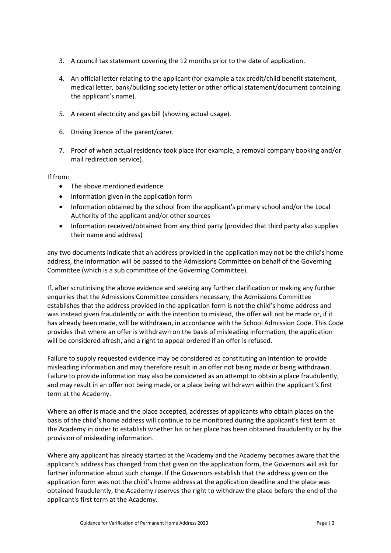- 3. A council tax statement covering the 12 months prior to the date of application.
- 4. An official letter relating to the applicant (for example a tax credit/child benefit statement, medical letter, bank/building society letter or other official statement/document containing the applicant's name).
- 5. A recent electricity and gas bill (showing actual usage).
- 6. Driving licence of the parent/carer.
- 7. Proof of when actual residency took place (for example, a removal company booking and/or mail redirection service).

#### If from:

- The above mentioned evidence
- Information given in the application form
- Information obtained by the school from the applicant's primary school and/or the Local Authority of the applicant and/or other sources
- Information received/obtained from any third party (provided that third party also supplies their name and address)

any two documents indicate that an address provided in the application may not be the child's home address, the information will be passed to the Admissions Committee on behalf of the Governing Committee (which is a sub committee of the Governing Committee).

If, after scrutinising the above evidence and seeking any further clarification or making any further enquiries that the Admissions Committee considers necessary, the Admissions Committee establishes that the address provided in the application form is not the child's home address and was instead given fraudulently or with the intention to mislead, the offer will not be made or, if it has already been made, will be withdrawn, in accordance with the School Admission Code. This Code provides that where an offer is withdrawn on the basis of misleading information, the application will be considered afresh, and a right to appeal ordered if an offer is refused.

Failure to supply requested evidence may be considered as constituting an intention to provide misleading information and may therefore result in an offer not being made or being withdrawn. Failure to provide information may also be considered as an attempt to obtain a place fraudulently, and may result in an offer not being made, or a place being withdrawn within the applicant's first term at the Academy.

Where an offer is made and the place accepted, addresses of applicants who obtain places on the basis of the child's home address will continue to be monitored during the applicant's first term at the Academy in order to establish whether his or her place has been obtained fraudulently or by the provision of misleading information.

Where any applicant has already started at the Academy and the Academy becomes aware that the applicant's address has changed from that given on the application form, the Governors will ask for further information about such change. If the Governors establish that the address given on the application form was not the child's home address at the application deadline and the place was obtained fraudulently, the Academy reserves the right to withdraw the place before the end of the applicant's first term at the Academy.